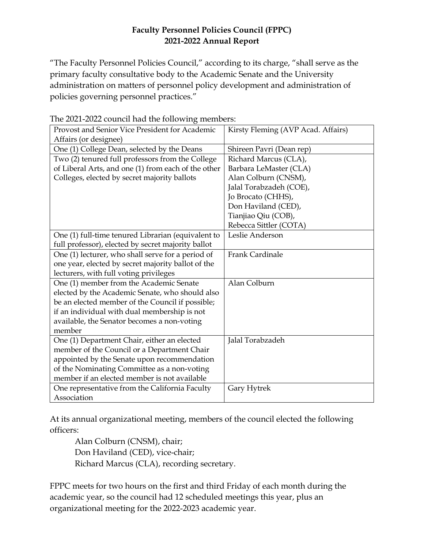## **Faculty Personnel Policies Council (FPPC) 2021-2022 Annual Report**

"The Faculty Personnel Policies Council," according to its charge, "shall serve as the primary faculty consultative body to the Academic Senate and the University administration on matters of personnel policy development and administration of policies governing personnel practices."

| Provost and Senior Vice President for Academic      | Kirsty Fleming (AVP Acad. Affairs) |
|-----------------------------------------------------|------------------------------------|
| Affairs (or designee)                               |                                    |
| One (1) College Dean, selected by the Deans         | Shireen Pavri (Dean rep)           |
| Two (2) tenured full professors from the College    | Richard Marcus (CLA),              |
| of Liberal Arts, and one (1) from each of the other | Barbara LeMaster (CLA)             |
| Colleges, elected by secret majority ballots        | Alan Colburn (CNSM),               |
|                                                     | Jalal Torabzadeh (COE),            |
|                                                     | Jo Brocato (CHHS),                 |
|                                                     | Don Haviland (CED),                |
|                                                     | Tianjiao Qiu (COB),                |
|                                                     | Rebecca Sittler (COTA)             |
| One (1) full-time tenured Librarian (equivalent to  | Leslie Anderson                    |
| full professor), elected by secret majority ballot  |                                    |
| One (1) lecturer, who shall serve for a period of   | Frank Cardinale                    |
| one year, elected by secret majority ballot of the  |                                    |
| lecturers, with full voting privileges              |                                    |
| One (1) member from the Academic Senate             | Alan Colburn                       |
| elected by the Academic Senate, who should also     |                                    |
| be an elected member of the Council if possible;    |                                    |
| if an individual with dual membership is not        |                                    |
| available, the Senator becomes a non-voting         |                                    |
| member                                              |                                    |
| One (1) Department Chair, either an elected         | Jalal Torabzadeh                   |
| member of the Council or a Department Chair         |                                    |
| appointed by the Senate upon recommendation         |                                    |
| of the Nominating Committee as a non-voting         |                                    |
| member if an elected member is not available        |                                    |
| One representative from the California Faculty      | Gary Hytrek                        |
| Association                                         |                                    |

The 2021-2022 council had the following members:

At its annual organizational meeting, members of the council elected the following officers:

Alan Colburn (CNSM), chair; Don Haviland (CED), vice-chair; Richard Marcus (CLA), recording secretary.

FPPC meets for two hours on the first and third Friday of each month during the academic year, so the council had 12 scheduled meetings this year, plus an organizational meeting for the 2022-2023 academic year.